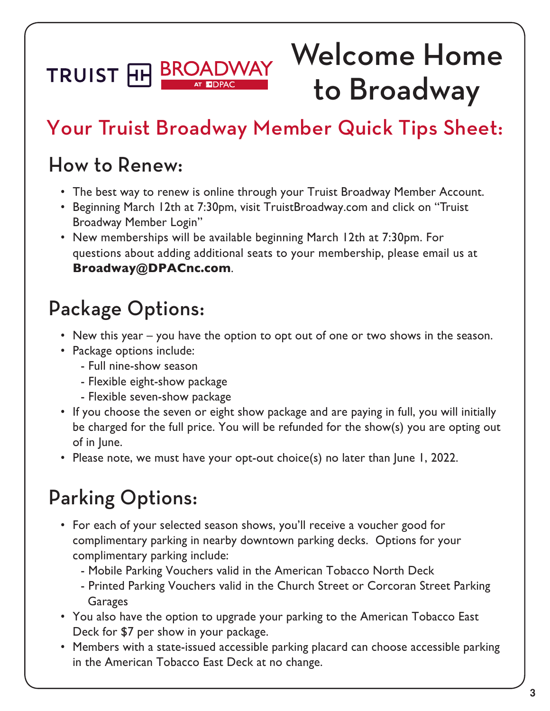# TRUIST HH BROADWAY

## Welcome Home to Broadway

## Your Truist Broadway Member Quick Tips Sheet:

#### How to Renew:

- The best way to renew is online through your Truist Broadway Member Account.
- Beginning March 12th at 7:30pm, visit TruistBroadway.com and click on "Truist Broadway Member Login"
- New memberships will be available beginning March 12th at 7:30pm. For questions about adding additional seats to your membership, please email us at **Broadway@DPACnc.com**.

## Package Options:

- New this year you have the option to opt out of one or two shows in the season.
- Package options include:
	- Full nine-show season
	- Flexible eight-show package
	- Flexible seven-show package
- If you choose the seven or eight show package and are paying in full, you will initially be charged for the full price. You will be refunded for the show(s) you are opting out of in June.
- Please note, we must have your opt-out choice(s) no later than June 1, 2022.

## Parking Options:

- For each of your selected season shows, you'll receive a voucher good for complimentary parking in nearby downtown parking decks. Options for your complimentary parking include:
	- Mobile Parking Vouchers valid in the American Tobacco North Deck
	- Printed Parking Vouchers valid in the Church Street or Corcoran Street Parking Garages
- You also have the option to upgrade your parking to the American Tobacco East Deck for \$7 per show in your package.
- Members with a state-issued accessible parking placard can choose accessible parking in the American Tobacco East Deck at no change.